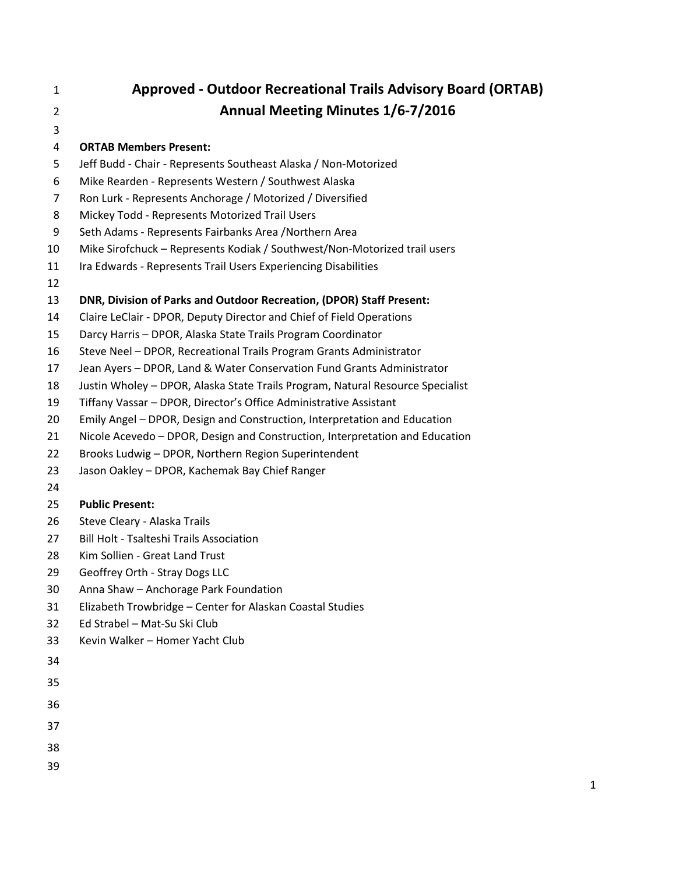# **Approved - Outdoor Recreational Trails Advisory Board (ORTAB) Annual Meeting Minutes 1/6-7/2016**

## **ORTAB Members Present:**

- Jeff Budd Chair Represents Southeast Alaska / Non-Motorized
- Mike Rearden Represents Western / Southwest Alaska
- Ron Lurk Represents Anchorage / Motorized / Diversified
- Mickey Todd Represents Motorized Trail Users
- Seth Adams Represents Fairbanks Area /Northern Area
- Mike Sirofchuck Represents Kodiak / Southwest/Non-Motorized trail users
- 11 Ira Edwards Represents Trail Users Experiencing Disabilities
- 

#### **DNR, Division of Parks and Outdoor Recreation, (DPOR) Staff Present:**

- Claire LeClair DPOR, Deputy Director and Chief of Field Operations
- Darcy Harris DPOR, Alaska State Trails Program Coordinator
- Steve Neel DPOR, Recreational Trails Program Grants Administrator
- Jean Ayers DPOR, Land & Water Conservation Fund Grants Administrator
- Justin Wholey DPOR, Alaska State Trails Program, Natural Resource Specialist
- Tiffany Vassar DPOR, Director's Office Administrative Assistant
- Emily Angel DPOR, Design and Construction, Interpretation and Education
- Nicole Acevedo DPOR, Design and Construction, Interpretation and Education
- Brooks Ludwig DPOR, Northern Region Superintendent
- Jason Oakley DPOR, Kachemak Bay Chief Ranger
- 

#### **Public Present:**

- Steve Cleary Alaska Trails
- Bill Holt Tsalteshi Trails Association
- Kim Sollien Great Land Trust
- Geoffrey Orth Stray Dogs LLC
- Anna Shaw Anchorage Park Foundation
- Elizabeth Trowbridge Center for Alaskan Coastal Studies
- Ed Strabel Mat-Su Ski Club
- Kevin Walker Homer Yacht Club
- 
- 
- 
- 
- 
- 
-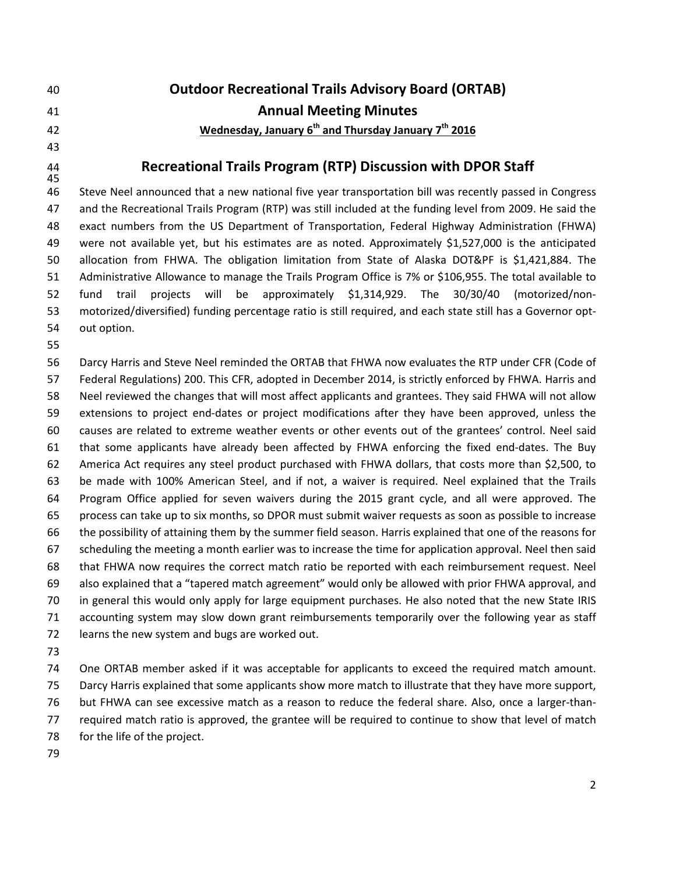- **Outdoor Recreational Trails Advisory Board (ORTAB)**
- **Annual Meeting Minutes**
- **Wednesday, January 6th and Thursday January 7th 2016**
- 

# 

# **Recreational Trails Program (RTP) Discussion with DPOR Staff**

 Steve Neel announced that a new national five year transportation bill was recently passed in Congress and the Recreational Trails Program (RTP) was still included at the funding level from 2009. He said the exact numbers from the US Department of Transportation, Federal Highway Administration (FHWA) were not available yet, but his estimates are as noted. Approximately \$1,527,000 is the anticipated allocation from FHWA. The obligation limitation from State of Alaska DOT&PF is \$1,421,884. The Administrative Allowance to manage the Trails Program Office is 7% or \$106,955. The total available to fund trail projects will be approximately \$1,314,929. The 30/30/40 (motorized/non- motorized/diversified) funding percentage ratio is still required, and each state still has a Governor opt-out option.

 Darcy Harris and Steve Neel reminded the ORTAB that FHWA now evaluates the RTP under CFR (Code of Federal Regulations) 200. This CFR, adopted in December 2014, is strictly enforced by FHWA. Harris and Neel reviewed the changes that will most affect applicants and grantees. They said FHWA will not allow extensions to project end-dates or project modifications after they have been approved, unless the causes are related to extreme weather events or other events out of the grantees' control. Neel said that some applicants have already been affected by FHWA enforcing the fixed end-dates. The Buy America Act requires any steel product purchased with FHWA dollars, that costs more than \$2,500, to be made with 100% American Steel, and if not, a waiver is required. Neel explained that the Trails Program Office applied for seven waivers during the 2015 grant cycle, and all were approved. The process can take up to six months, so DPOR must submit waiver requests as soon as possible to increase the possibility of attaining them by the summer field season. Harris explained that one of the reasons for scheduling the meeting a month earlier was to increase the time for application approval. Neel then said that FHWA now requires the correct match ratio be reported with each reimbursement request. Neel also explained that a "tapered match agreement" would only be allowed with prior FHWA approval, and in general this would only apply for large equipment purchases. He also noted that the new State IRIS accounting system may slow down grant reimbursements temporarily over the following year as staff learns the new system and bugs are worked out.

 One ORTAB member asked if it was acceptable for applicants to exceed the required match amount. Darcy Harris explained that some applicants show more match to illustrate that they have more support, but FHWA can see excessive match as a reason to reduce the federal share. Also, once a larger-than- required match ratio is approved, the grantee will be required to continue to show that level of match for the life of the project.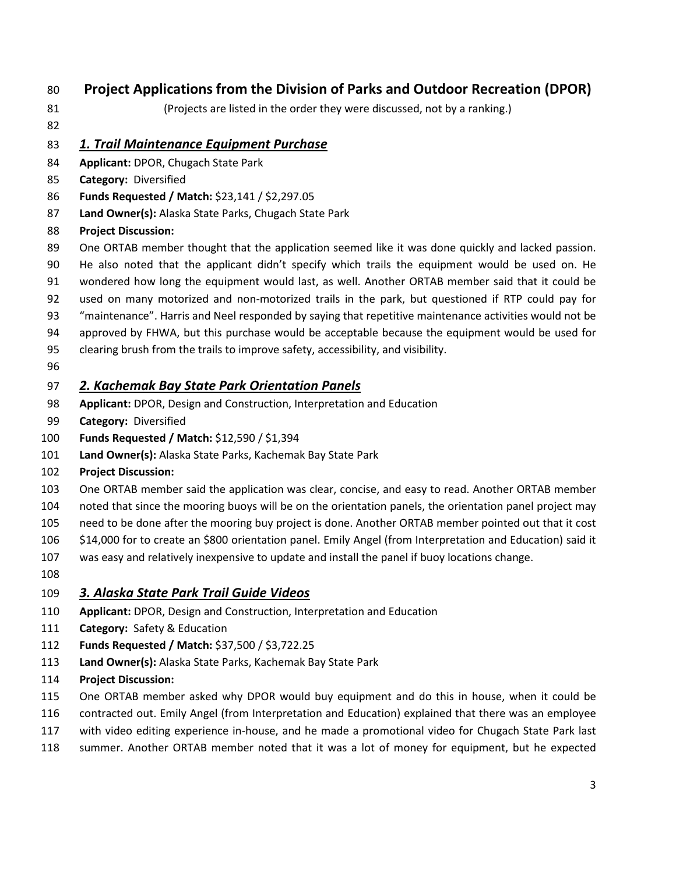## **Project Applications from the Division of Parks and Outdoor Recreation (DPOR)**

(Projects are listed in the order they were discussed, not by a ranking.)

## *1. Trail Maintenance Equipment Purchase*

- **Applicant:** DPOR, Chugach State Park
- **Category:** Diversified
- **Funds Requested / Match:** \$23,141 / \$2,297.05
- **Land Owner(s):** Alaska State Parks, Chugach State Park

## **Project Discussion:**

- 89 One ORTAB member thought that the application seemed like it was done quickly and lacked passion.
- He also noted that the applicant didn't specify which trails the equipment would be used on. He
- wondered how long the equipment would last, as well. Another ORTAB member said that it could be
- used on many motorized and non-motorized trails in the park, but questioned if RTP could pay for
- "maintenance". Harris and Neel responded by saying that repetitive maintenance activities would not be approved by FHWA, but this purchase would be acceptable because the equipment would be used for
- clearing brush from the trails to improve safety, accessibility, and visibility.
- 

## *2. Kachemak Bay State Park Orientation Panels*

- **Applicant:** DPOR, Design and Construction, Interpretation and Education
- **Category:** Diversified
- **Funds Requested / Match:** \$12,590 / \$1,394
- **Land Owner(s):** Alaska State Parks, Kachemak Bay State Park
- **Project Discussion:**
- One ORTAB member said the application was clear, concise, and easy to read. Another ORTAB member
- noted that since the mooring buoys will be on the orientation panels, the orientation panel project may
- need to be done after the mooring buy project is done. Another ORTAB member pointed out that it cost
- \$14,000 for to create an \$800 orientation panel. Emily Angel (from Interpretation and Education) said it
- was easy and relatively inexpensive to update and install the panel if buoy locations change.
- 

## *3. Alaska State Park Trail Guide Videos*

- **Applicant:** DPOR, Design and Construction, Interpretation and Education
- **Category:** Safety & Education
- **Funds Requested / Match:** \$37,500 / \$3,722.25
- **Land Owner(s):** Alaska State Parks, Kachemak Bay State Park
- **Project Discussion:**
- One ORTAB member asked why DPOR would buy equipment and do this in house, when it could be
- contracted out. Emily Angel (from Interpretation and Education) explained that there was an employee
- with video editing experience in-house, and he made a promotional video for Chugach State Park last
- summer. Another ORTAB member noted that it was a lot of money for equipment, but he expected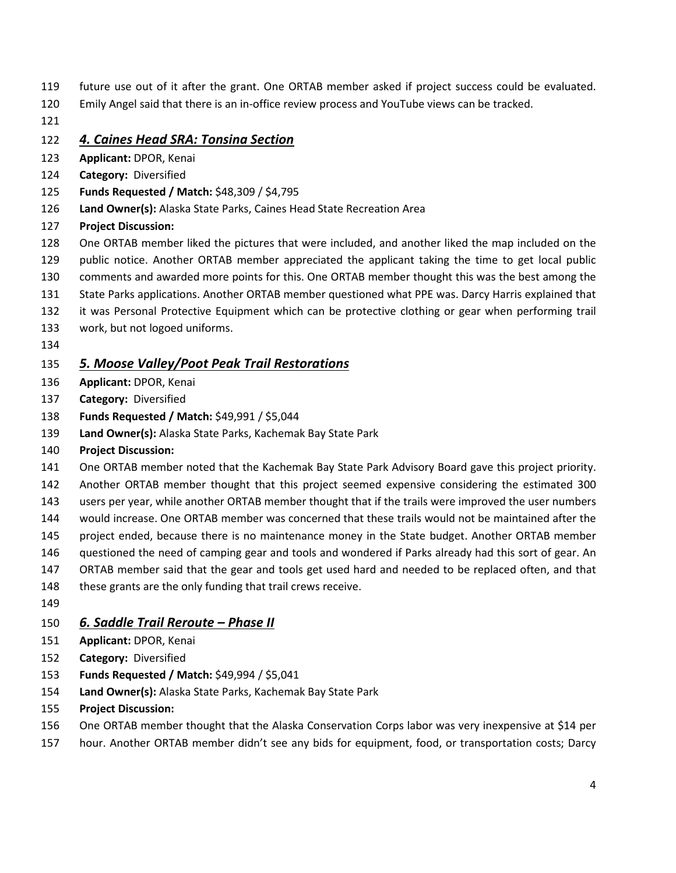- future use out of it after the grant. One ORTAB member asked if project success could be evaluated.
- Emily Angel said that there is an in-office review process and YouTube views can be tracked.
- 

#### *4. Caines Head SRA: Tonsina Section*

- **Applicant:** DPOR, Kenai
- **Category:** Diversified
- **Funds Requested / Match:** \$48,309 / \$4,795
- **Land Owner(s):** Alaska State Parks, Caines Head State Recreation Area
- **Project Discussion:**
- One ORTAB member liked the pictures that were included, and another liked the map included on the
- public notice. Another ORTAB member appreciated the applicant taking the time to get local public
- comments and awarded more points for this. One ORTAB member thought this was the best among the
- State Parks applications. Another ORTAB member questioned what PPE was. Darcy Harris explained that
- it was Personal Protective Equipment which can be protective clothing or gear when performing trail
- work, but not logoed uniforms.
- 

## *5. Moose Valley/Poot Peak Trail Restorations*

- **Applicant:** DPOR, Kenai
- **Category:** Diversified
- **Funds Requested / Match:** \$49,991 / \$5,044
- **Land Owner(s):** Alaska State Parks, Kachemak Bay State Park
- **Project Discussion:**
- One ORTAB member noted that the Kachemak Bay State Park Advisory Board gave this project priority.
- Another ORTAB member thought that this project seemed expensive considering the estimated 300
- users per year, while another ORTAB member thought that if the trails were improved the user numbers
- would increase. One ORTAB member was concerned that these trails would not be maintained after the
- project ended, because there is no maintenance money in the State budget. Another ORTAB member
- questioned the need of camping gear and tools and wondered if Parks already had this sort of gear. An
- ORTAB member said that the gear and tools get used hard and needed to be replaced often, and that
- 148 these grants are the only funding that trail crews receive.
- 

## *6. Saddle Trail Reroute – Phase II*

- **Applicant:** DPOR, Kenai
- **Category:** Diversified
- **Funds Requested / Match:** \$49,994 / \$5,041
- **Land Owner(s):** Alaska State Parks, Kachemak Bay State Park
- **Project Discussion:**
- One ORTAB member thought that the Alaska Conservation Corps labor was very inexpensive at \$14 per
- hour. Another ORTAB member didn't see any bids for equipment, food, or transportation costs; Darcy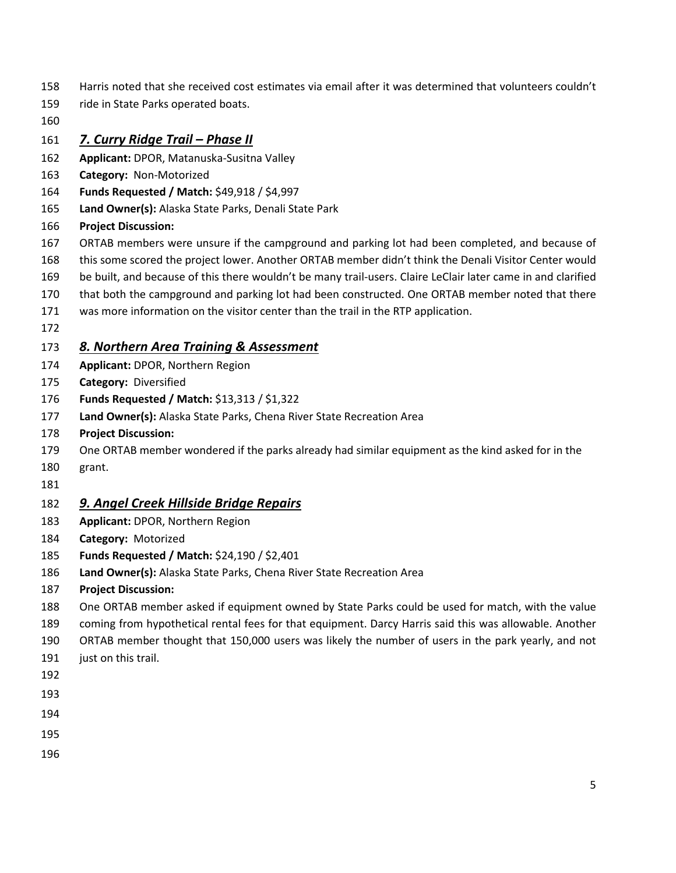- Harris noted that she received cost estimates via email after it was determined that volunteers couldn't
- ride in State Parks operated boats.
- 

*7. Curry Ridge Trail – Phase II*

- **Applicant:** DPOR, Matanuska-Susitna Valley
- **Category:** Non-Motorized
- **Funds Requested / Match:** \$49,918 / \$4,997
- **Land Owner(s):** Alaska State Parks, Denali State Park
- **Project Discussion:**
- ORTAB members were unsure if the campground and parking lot had been completed, and because of
- this some scored the project lower. Another ORTAB member didn't think the Denali Visitor Center would
- be built, and because of this there wouldn't be many trail-users. Claire LeClair later came in and clarified
- that both the campground and parking lot had been constructed. One ORTAB member noted that there
- was more information on the visitor center than the trail in the RTP application.
- 

## *8. Northern Area Training & Assessment*

- **Applicant:** DPOR, Northern Region
- **Category:** Diversified
- **Funds Requested / Match:** \$13,313 / \$1,322
- **Land Owner(s):** Alaska State Parks, Chena River State Recreation Area
- **Project Discussion:**
- One ORTAB member wondered if the parks already had similar equipment as the kind asked for in the
- grant.
- 

## *9. Angel Creek Hillside Bridge Repairs*

- **Applicant:** DPOR, Northern Region
- **Category:** Motorized
- **Funds Requested / Match:** \$24,190 / \$2,401
- **Land Owner(s):** Alaska State Parks, Chena River State Recreation Area
- **Project Discussion:**
- One ORTAB member asked if equipment owned by State Parks could be used for match, with the value
- coming from hypothetical rental fees for that equipment. Darcy Harris said this was allowable. Another
- ORTAB member thought that 150,000 users was likely the number of users in the park yearly, and not
- 191 just on this trail.
- 
- 
- 
- 
-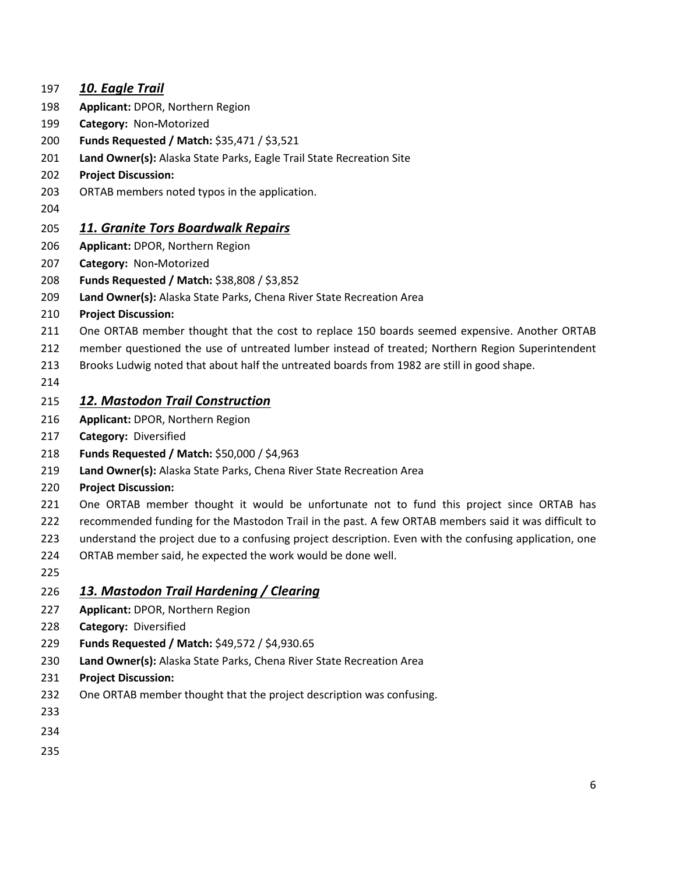## *10. Eagle Trail* **Applicant:** DPOR, Northern Region **Category:** Non**-**Motorized **Funds Requested / Match:** \$35,471 / \$3,521 **Land Owner(s):** Alaska State Parks, Eagle Trail State Recreation Site **Project Discussion:**  ORTAB members noted typos in the application. *11. Granite Tors Boardwalk Repairs* **Applicant:** DPOR, Northern Region **Category:** Non**-**Motorized **Funds Requested / Match:** \$38,808 / \$3,852 **Land Owner(s):** Alaska State Parks, Chena River State Recreation Area **Project Discussion:**  One ORTAB member thought that the cost to replace 150 boards seemed expensive. Another ORTAB member questioned the use of untreated lumber instead of treated; Northern Region Superintendent Brooks Ludwig noted that about half the untreated boards from 1982 are still in good shape. *12. Mastodon Trail Construction* **Applicant:** DPOR, Northern Region **Category:** Diversified **Funds Requested / Match:** \$50,000 / \$4,963 **Land Owner(s):** Alaska State Parks, Chena River State Recreation Area **Project Discussion:**  One ORTAB member thought it would be unfortunate not to fund this project since ORTAB has recommended funding for the Mastodon Trail in the past. A few ORTAB members said it was difficult to understand the project due to a confusing project description. Even with the confusing application, one ORTAB member said, he expected the work would be done well. *13. Mastodon Trail Hardening / Clearing* **Applicant:** DPOR, Northern Region **Category:** Diversified **Funds Requested / Match:** \$49,572 / \$4,930.65 **Land Owner(s):** Alaska State Parks, Chena River State Recreation Area **Project Discussion:**  One ORTAB member thought that the project description was confusing.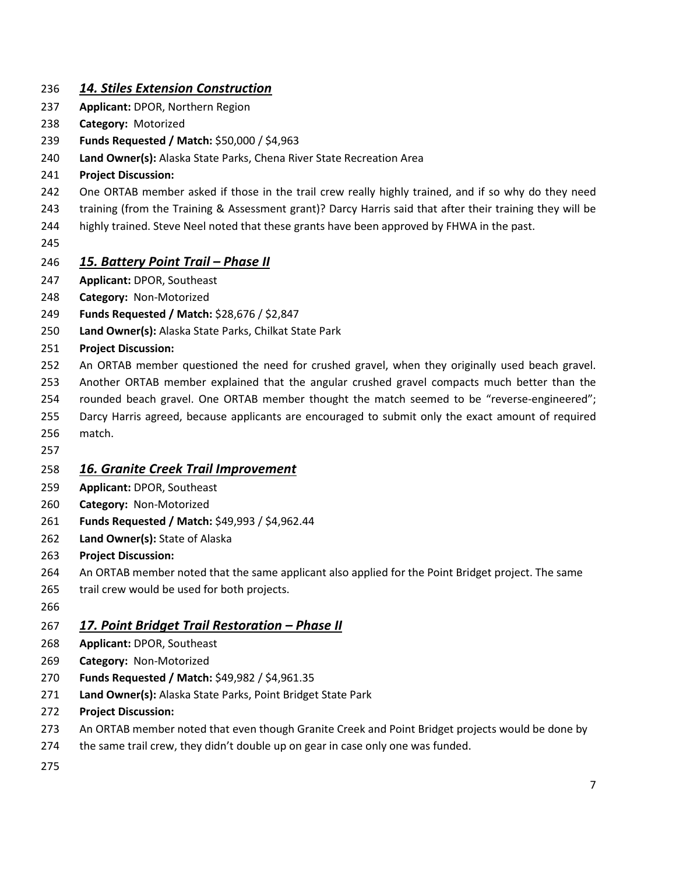## *14. Stiles Extension Construction*

- **Applicant:** DPOR, Northern Region
- **Category:** Motorized
- **Funds Requested / Match:** \$50,000 / \$4,963
- **Land Owner(s):** Alaska State Parks, Chena River State Recreation Area
- **Project Discussion:**
- One ORTAB member asked if those in the trail crew really highly trained, and if so why do they need
- training (from the Training & Assessment grant)? Darcy Harris said that after their training they will be
- 244 highly trained. Steve Neel noted that these grants have been approved by FHWA in the past.
- 

#### *15. Battery Point Trail – Phase II*

- **Applicant:** DPOR, Southeast
- **Category:** Non-Motorized
- **Funds Requested / Match:** \$28,676 / \$2,847
- **Land Owner(s):** Alaska State Parks, Chilkat State Park
- **Project Discussion:**
- An ORTAB member questioned the need for crushed gravel, when they originally used beach gravel.
- Another ORTAB member explained that the angular crushed gravel compacts much better than the
- rounded beach gravel. One ORTAB member thought the match seemed to be "reverse-engineered";
- Darcy Harris agreed, because applicants are encouraged to submit only the exact amount of required
- match.
- 

#### *16. Granite Creek Trail Improvement*

- **Applicant:** DPOR, Southeast
- **Category:** Non-Motorized
- **Funds Requested / Match:** \$49,993 / \$4,962.44
- **Land Owner(s):** State of Alaska
- **Project Discussion:**
- An ORTAB member noted that the same applicant also applied for the Point Bridget project. The same
- 265 trail crew would be used for both projects.
- 

#### *17. Point Bridget Trail Restoration – Phase II*

- **Applicant:** DPOR, Southeast
- **Category:** Non-Motorized
- **Funds Requested / Match:** \$49,982 / \$4,961.35
- **Land Owner(s):** Alaska State Parks, Point Bridget State Park
- **Project Discussion:**
- 273 An ORTAB member noted that even though Granite Creek and Point Bridget projects would be done by
- the same trail crew, they didn't double up on gear in case only one was funded.
-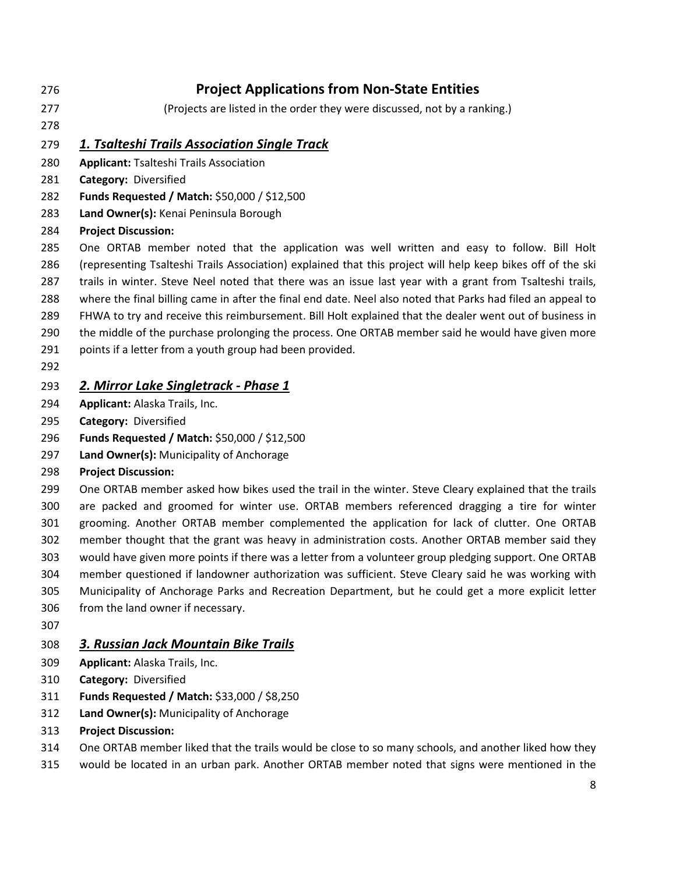## **Project Applications from Non-State Entities**

- (Projects are listed in the order they were discussed, not by a ranking.)
- 

*1. Tsalteshi Trails Association Single Track*

- **Applicant:** Tsalteshi Trails Association
- **Category:** Diversified
- **Funds Requested / Match:** \$50,000 / \$12,500
- **Land Owner(s):** Kenai Peninsula Borough

#### **Project Discussion:**

 One ORTAB member noted that the application was well written and easy to follow. Bill Holt (representing Tsalteshi Trails Association) explained that this project will help keep bikes off of the ski trails in winter. Steve Neel noted that there was an issue last year with a grant from Tsalteshi trails, where the final billing came in after the final end date. Neel also noted that Parks had filed an appeal to

- FHWA to try and receive this reimbursement. Bill Holt explained that the dealer went out of business in
- the middle of the purchase prolonging the process. One ORTAB member said he would have given more
- points if a letter from a youth group had been provided.
- 

## *2. Mirror Lake Singletrack - Phase 1*

- **Applicant:** Alaska Trails, Inc.
- **Category:** Diversified
- **Funds Requested / Match:** \$50,000 / \$12,500
- **Land Owner(s):** Municipality of Anchorage
- **Project Discussion:**

 One ORTAB member asked how bikes used the trail in the winter. Steve Cleary explained that the trails are packed and groomed for winter use. ORTAB members referenced dragging a tire for winter grooming. Another ORTAB member complemented the application for lack of clutter. One ORTAB member thought that the grant was heavy in administration costs. Another ORTAB member said they would have given more points if there was a letter from a volunteer group pledging support. One ORTAB member questioned if landowner authorization was sufficient. Steve Cleary said he was working with Municipality of Anchorage Parks and Recreation Department, but he could get a more explicit letter from the land owner if necessary.

#### *3. Russian Jack Mountain Bike Trails*

- **Applicant:** Alaska Trails, Inc.
- **Category:** Diversified
- **Funds Requested / Match:** \$33,000 / \$8,250
- **Land Owner(s):** Municipality of Anchorage
- **Project Discussion:**
- One ORTAB member liked that the trails would be close to so many schools, and another liked how they
- would be located in an urban park. Another ORTAB member noted that signs were mentioned in the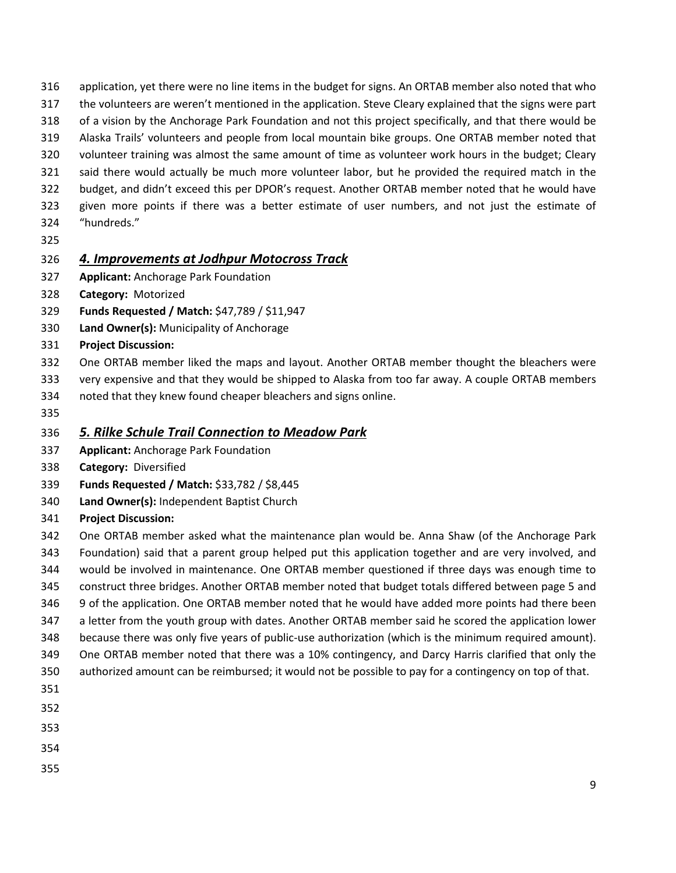- application, yet there were no line items in the budget for signs. An ORTAB member also noted that who
- the volunteers are weren't mentioned in the application. Steve Cleary explained that the signs were part
- of a vision by the Anchorage Park Foundation and not this project specifically, and that there would be
- Alaska Trails' volunteers and people from local mountain bike groups. One ORTAB member noted that
- volunteer training was almost the same amount of time as volunteer work hours in the budget; Cleary
- said there would actually be much more volunteer labor, but he provided the required match in the budget, and didn't exceed this per DPOR's request. Another ORTAB member noted that he would have
- given more points if there was a better estimate of user numbers, and not just the estimate of
- "hundreds."
- 

## *4. Improvements at Jodhpur Motocross Track*

- **Applicant:** Anchorage Park Foundation
- **Category:** Motorized
- **Funds Requested / Match:** \$47,789 / \$11,947
- **Land Owner(s):** Municipality of Anchorage
- **Project Discussion:**
- One ORTAB member liked the maps and layout. Another ORTAB member thought the bleachers were
- very expensive and that they would be shipped to Alaska from too far away. A couple ORTAB members noted that they knew found cheaper bleachers and signs online.
- 

## *5. Rilke Schule Trail Connection to Meadow Park*

- **Applicant:** Anchorage Park Foundation
- **Category:** Diversified
- **Funds Requested / Match:** \$33,782 / \$8,445
- **Land Owner(s):** Independent Baptist Church
- **Project Discussion:**
- One ORTAB member asked what the maintenance plan would be. Anna Shaw (of the Anchorage Park Foundation) said that a parent group helped put this application together and are very involved, and would be involved in maintenance. One ORTAB member questioned if three days was enough time to construct three bridges. Another ORTAB member noted that budget totals differed between page 5 and 9 of the application. One ORTAB member noted that he would have added more points had there been a letter from the youth group with dates. Another ORTAB member said he scored the application lower because there was only five years of public-use authorization (which is the minimum required amount). One ORTAB member noted that there was a 10% contingency, and Darcy Harris clarified that only the
- authorized amount can be reimbursed; it would not be possible to pay for a contingency on top of that.
- 
- 
- 
- 
-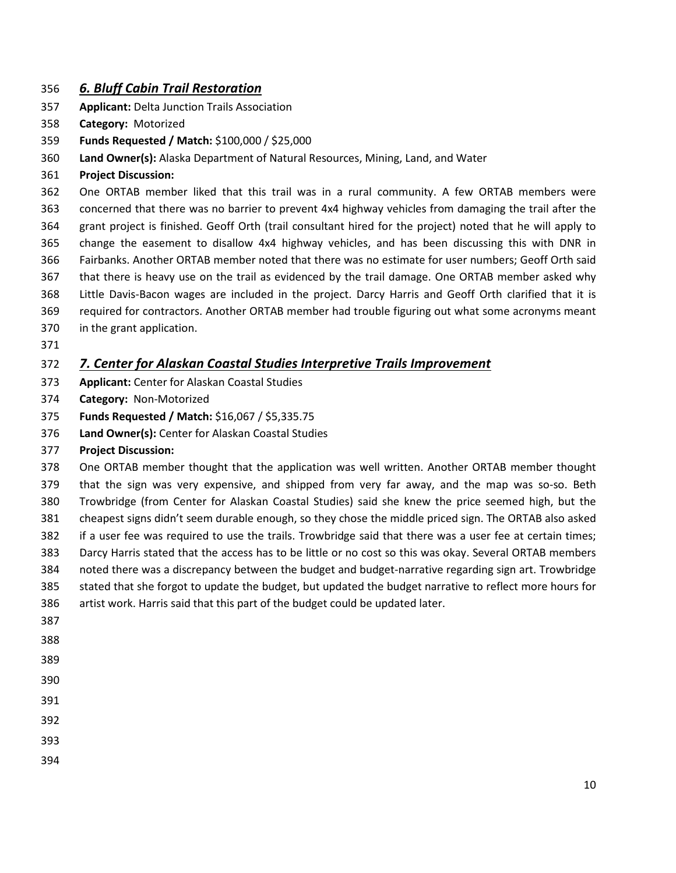#### *6. Bluff Cabin Trail Restoration*

- **Applicant:** Delta Junction Trails Association
- **Category:** Motorized
- **Funds Requested / Match:** \$100,000 / \$25,000
- **Land Owner(s):** Alaska Department of Natural Resources, Mining, Land, and Water
- **Project Discussion:**

 One ORTAB member liked that this trail was in a rural community. A few ORTAB members were concerned that there was no barrier to prevent 4x4 highway vehicles from damaging the trail after the grant project is finished. Geoff Orth (trail consultant hired for the project) noted that he will apply to change the easement to disallow 4x4 highway vehicles, and has been discussing this with DNR in Fairbanks. Another ORTAB member noted that there was no estimate for user numbers; Geoff Orth said that there is heavy use on the trail as evidenced by the trail damage. One ORTAB member asked why Little Davis-Bacon wages are included in the project. Darcy Harris and Geoff Orth clarified that it is required for contractors. Another ORTAB member had trouble figuring out what some acronyms meant in the grant application.

#### *7. Center for Alaskan Coastal Studies Interpretive Trails Improvement*

- **Applicant:** Center for Alaskan Coastal Studies
- **Category:** Non-Motorized
- **Funds Requested / Match:** \$16,067 / \$5,335.75
- **Land Owner(s):** Center for Alaskan Coastal Studies
- **Project Discussion:**

 One ORTAB member thought that the application was well written. Another ORTAB member thought that the sign was very expensive, and shipped from very far away, and the map was so-so. Beth Trowbridge (from Center for Alaskan Coastal Studies) said she knew the price seemed high, but the cheapest signs didn't seem durable enough, so they chose the middle priced sign. The ORTAB also asked if a user fee was required to use the trails. Trowbridge said that there was a user fee at certain times; Darcy Harris stated that the access has to be little or no cost so this was okay. Several ORTAB members noted there was a discrepancy between the budget and budget-narrative regarding sign art. Trowbridge stated that she forgot to update the budget, but updated the budget narrative to reflect more hours for artist work. Harris said that this part of the budget could be updated later. 

- 
- 
- 
- 
- 
- 
-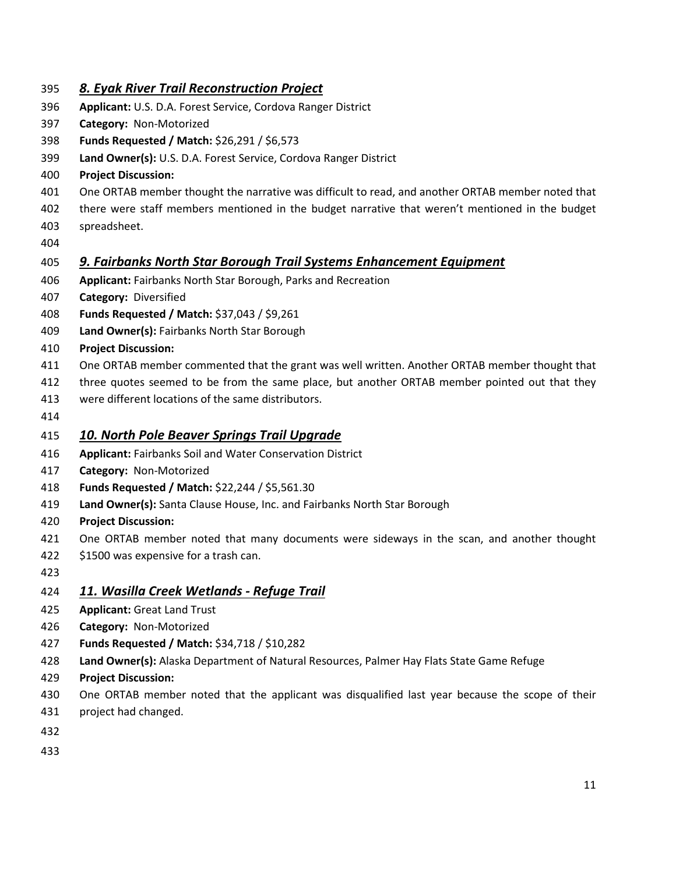## *8. Eyak River Trail Reconstruction Project*

- **Applicant:** U.S. D.A. Forest Service, Cordova Ranger District
- **Category:** Non-Motorized
- **Funds Requested / Match:** \$26,291 / \$6,573
- **Land Owner(s):** U.S. D.A. Forest Service, Cordova Ranger District
- **Project Discussion:**
- One ORTAB member thought the narrative was difficult to read, and another ORTAB member noted that
- there were staff members mentioned in the budget narrative that weren't mentioned in the budget spreadsheet.
- 

## *9. Fairbanks North Star Borough Trail Systems Enhancement Equipment*

- **Applicant:** Fairbanks North Star Borough, Parks and Recreation
- **Category:** Diversified
- **Funds Requested / Match:** \$37,043 / \$9,261
- **Land Owner(s):** Fairbanks North Star Borough
- **Project Discussion:**
- One ORTAB member commented that the grant was well written. Another ORTAB member thought that
- three quotes seemed to be from the same place, but another ORTAB member pointed out that they
- were different locations of the same distributors.
- 

## *10. North Pole Beaver Springs Trail Upgrade*

- **Applicant:** Fairbanks Soil and Water Conservation District
- **Category:** Non-Motorized
- **Funds Requested / Match:** \$22,244 / \$5,561.30
- **Land Owner(s):** Santa Clause House, Inc. and Fairbanks North Star Borough
- **Project Discussion:**
- 421 One ORTAB member noted that many documents were sideways in the scan, and another thought
- \$1500 was expensive for a trash can.
- 

#### *11. Wasilla Creek Wetlands - Refuge Trail*

- **Applicant:** Great Land Trust
- **Category:** Non-Motorized
- **Funds Requested / Match:** \$34,718 / \$10,282
- **Land Owner(s):** Alaska Department of Natural Resources, Palmer Hay Flats State Game Refuge
- **Project Discussion:**
- One ORTAB member noted that the applicant was disqualified last year because the scope of their
- project had changed.
- 
-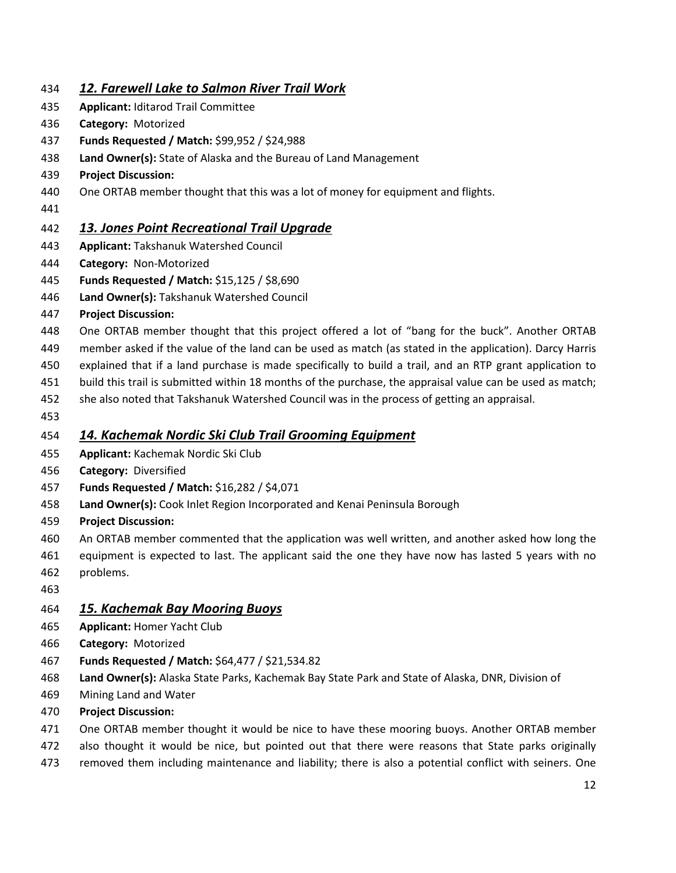## *12. Farewell Lake to Salmon River Trail Work*

- **Applicant:** Iditarod Trail Committee
- **Category:** Motorized
- **Funds Requested / Match:** \$99,952 / \$24,988
- **Land Owner(s):** State of Alaska and the Bureau of Land Management
- **Project Discussion:**
- One ORTAB member thought that this was a lot of money for equipment and flights.
- 

## *13. Jones Point Recreational Trail Upgrade*

- **Applicant:** Takshanuk Watershed Council
- **Category:** Non-Motorized
- **Funds Requested / Match:** \$15,125 / \$8,690
- **Land Owner(s):** Takshanuk Watershed Council
- **Project Discussion:**
- One ORTAB member thought that this project offered a lot of "bang for the buck". Another ORTAB
- member asked if the value of the land can be used as match (as stated in the application). Darcy Harris
- explained that if a land purchase is made specifically to build a trail, and an RTP grant application to
- build this trail is submitted within 18 months of the purchase, the appraisal value can be used as match;
- she also noted that Takshanuk Watershed Council was in the process of getting an appraisal.
- 

## *14. Kachemak Nordic Ski Club Trail Grooming Equipment*

- **Applicant:** Kachemak Nordic Ski Club
- **Category:** Diversified
- **Funds Requested / Match:** \$16,282 / \$4,071
- **Land Owner(s):** Cook Inlet Region Incorporated and Kenai Peninsula Borough
- **Project Discussion:**
- An ORTAB member commented that the application was well written, and another asked how long the
- equipment is expected to last. The applicant said the one they have now has lasted 5 years with no
- problems.
- 

#### *15. Kachemak Bay Mooring Buoys*

- **Applicant:** Homer Yacht Club
- **Category:** Motorized
- **Funds Requested / Match:** \$64,477 / \$21,534.82
- **Land Owner(s):** Alaska State Parks, Kachemak Bay State Park and State of Alaska, DNR, Division of
- Mining Land and Water
- **Project Discussion:**
- One ORTAB member thought it would be nice to have these mooring buoys. Another ORTAB member
- 472 also thought it would be nice, but pointed out that there were reasons that State parks originally
- removed them including maintenance and liability; there is also a potential conflict with seiners. One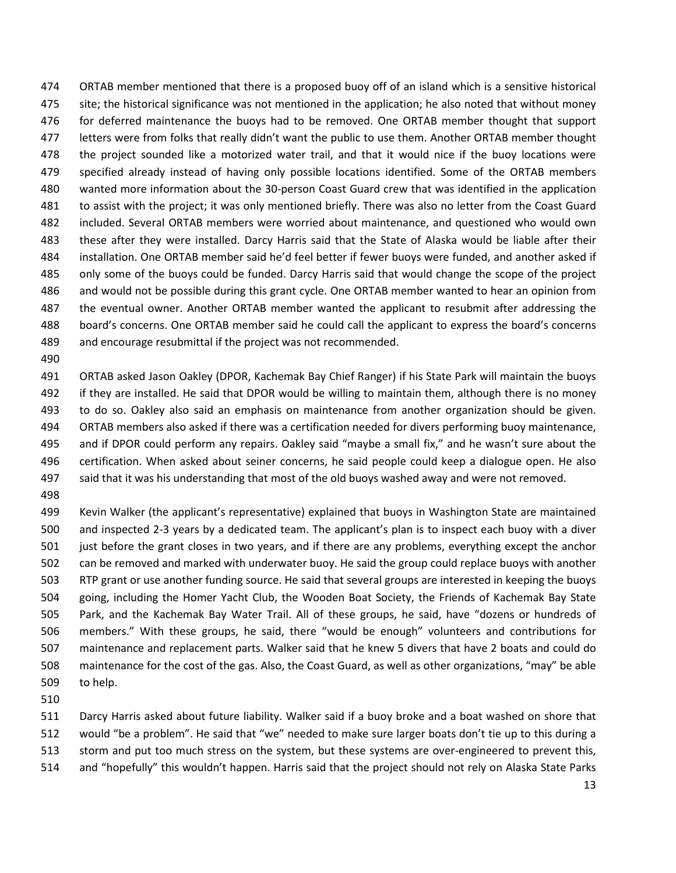ORTAB member mentioned that there is a proposed buoy off of an island which is a sensitive historical site; the historical significance was not mentioned in the application; he also noted that without money 476 for deferred maintenance the buoys had to be removed. One ORTAB member thought that support letters were from folks that really didn't want the public to use them. Another ORTAB member thought the project sounded like a motorized water trail, and that it would nice if the buoy locations were specified already instead of having only possible locations identified. Some of the ORTAB members wanted more information about the 30-person Coast Guard crew that was identified in the application to assist with the project; it was only mentioned briefly. There was also no letter from the Coast Guard included. Several ORTAB members were worried about maintenance, and questioned who would own these after they were installed. Darcy Harris said that the State of Alaska would be liable after their installation. One ORTAB member said he'd feel better if fewer buoys were funded, and another asked if only some of the buoys could be funded. Darcy Harris said that would change the scope of the project and would not be possible during this grant cycle. One ORTAB member wanted to hear an opinion from the eventual owner. Another ORTAB member wanted the applicant to resubmit after addressing the board's concerns. One ORTAB member said he could call the applicant to express the board's concerns and encourage resubmittal if the project was not recommended.

 ORTAB asked Jason Oakley (DPOR, Kachemak Bay Chief Ranger) if his State Park will maintain the buoys if they are installed. He said that DPOR would be willing to maintain them, although there is no money to do so. Oakley also said an emphasis on maintenance from another organization should be given. ORTAB members also asked if there was a certification needed for divers performing buoy maintenance, and if DPOR could perform any repairs. Oakley said "maybe a small fix," and he wasn't sure about the certification. When asked about seiner concerns, he said people could keep a dialogue open. He also said that it was his understanding that most of the old buoys washed away and were not removed.

 Kevin Walker (the applicant's representative) explained that buoys in Washington State are maintained and inspected 2-3 years by a dedicated team. The applicant's plan is to inspect each buoy with a diver just before the grant closes in two years, and if there are any problems, everything except the anchor can be removed and marked with underwater buoy. He said the group could replace buoys with another RTP grant or use another funding source. He said that several groups are interested in keeping the buoys going, including the Homer Yacht Club, the Wooden Boat Society, the Friends of Kachemak Bay State Park, and the Kachemak Bay Water Trail. All of these groups, he said, have "dozens or hundreds of members." With these groups, he said, there "would be enough" volunteers and contributions for maintenance and replacement parts. Walker said that he knew 5 divers that have 2 boats and could do maintenance for the cost of the gas. Also, the Coast Guard, as well as other organizations, "may" be able to help.

 Darcy Harris asked about future liability. Walker said if a buoy broke and a boat washed on shore that would "be a problem". He said that "we" needed to make sure larger boats don't tie up to this during a storm and put too much stress on the system, but these systems are over-engineered to prevent this, and "hopefully" this wouldn't happen. Harris said that the project should not rely on Alaska State Parks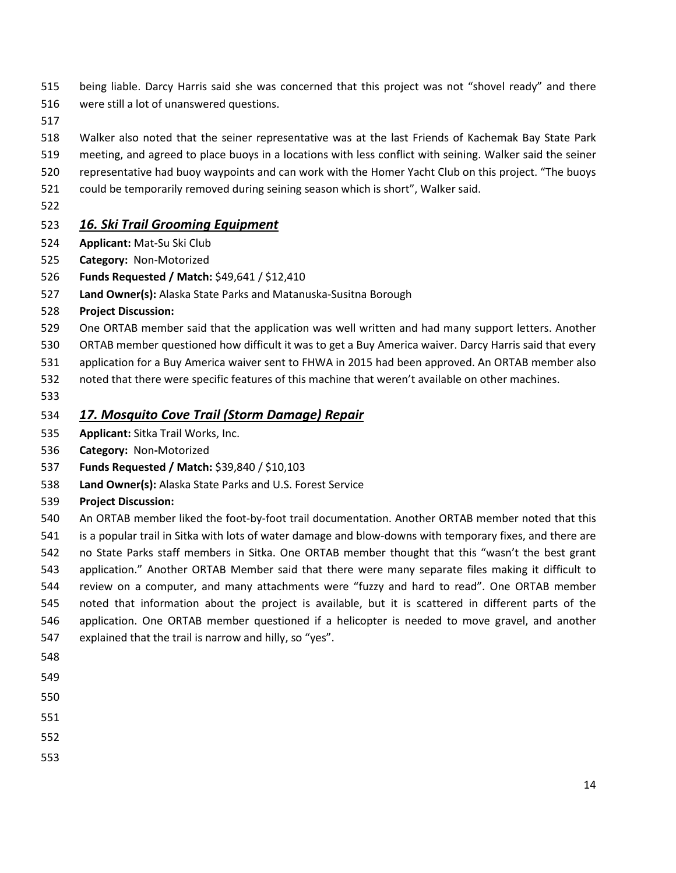- being liable. Darcy Harris said she was concerned that this project was not "shovel ready" and there were still a lot of unanswered questions.
- 
- Walker also noted that the seiner representative was at the last Friends of Kachemak Bay State Park
- meeting, and agreed to place buoys in a locations with less conflict with seining. Walker said the seiner
- representative had buoy waypoints and can work with the Homer Yacht Club on this project. "The buoys
- could be temporarily removed during seining season which is short", Walker said.
- 

#### *16. Ski Trail Grooming Equipment*

- **Applicant:** Mat-Su Ski Club
- **Category:** Non-Motorized
- **Funds Requested / Match:** \$49,641 / \$12,410
- **Land Owner(s):** Alaska State Parks and Matanuska-Susitna Borough
- **Project Discussion:**
- One ORTAB member said that the application was well written and had many support letters. Another
- ORTAB member questioned how difficult it was to get a Buy America waiver. Darcy Harris said that every
- application for a Buy America waiver sent to FHWA in 2015 had been approved. An ORTAB member also
- noted that there were specific features of this machine that weren't available on other machines.
- 

#### *17. Mosquito Cove Trail (Storm Damage) Repair*

- **Applicant:** Sitka Trail Works, Inc.
- **Category:** Non**-**Motorized
- **Funds Requested / Match:** \$39,840 / \$10,103
- **Land Owner(s):** Alaska State Parks and U.S. Forest Service
- **Project Discussion:**
- An ORTAB member liked the foot-by-foot trail documentation. Another ORTAB member noted that this is a popular trail in Sitka with lots of water damage and blow-downs with temporary fixes, and there are no State Parks staff members in Sitka. One ORTAB member thought that this "wasn't the best grant application." Another ORTAB Member said that there were many separate files making it difficult to
- review on a computer, and many attachments were "fuzzy and hard to read". One ORTAB member noted that information about the project is available, but it is scattered in different parts of the application. One ORTAB member questioned if a helicopter is needed to move gravel, and another explained that the trail is narrow and hilly, so "yes".
- 
- 
- 
- 
- 
-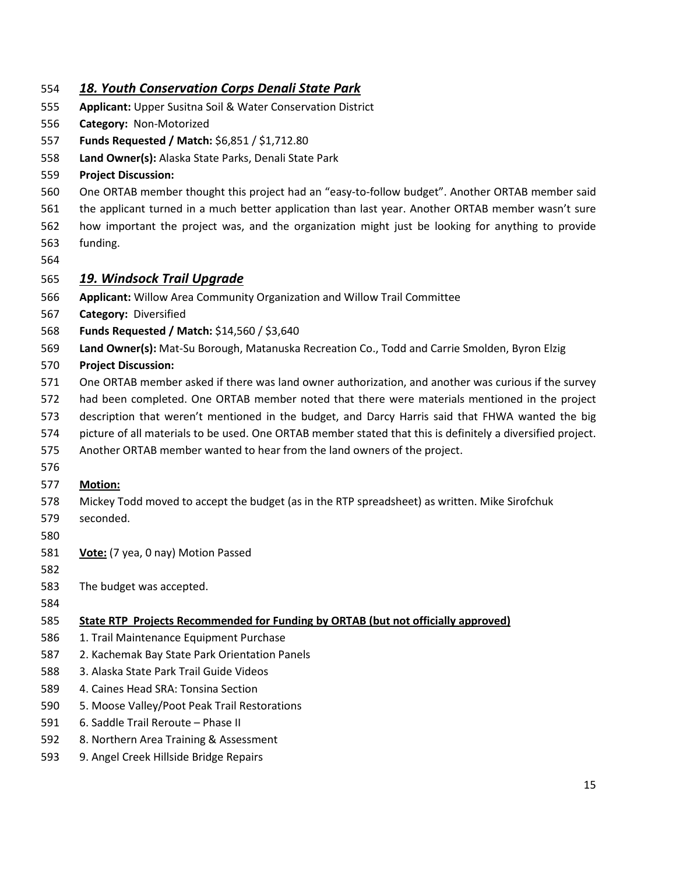#### *18. Youth Conservation Corps Denali State Park*

- **Applicant:** Upper Susitna Soil & Water Conservation District
- **Category:** Non-Motorized
- **Funds Requested / Match:** \$6,851 / \$1,712.80
- **Land Owner(s):** Alaska State Parks, Denali State Park
- **Project Discussion:**
- One ORTAB member thought this project had an "easy-to-follow budget". Another ORTAB member said
- the applicant turned in a much better application than last year. Another ORTAB member wasn't sure
- how important the project was, and the organization might just be looking for anything to provide funding.
- 

#### *19. Windsock Trail Upgrade*

- **Applicant:** Willow Area Community Organization and Willow Trail Committee
- **Category:** Diversified
- **Funds Requested / Match:** \$14,560 / \$3,640
- **Land Owner(s):** Mat-Su Borough, Matanuska Recreation Co., Todd and Carrie Smolden, Byron Elzig

#### **Project Discussion:**

- One ORTAB member asked if there was land owner authorization, and another was curious if the survey
- had been completed. One ORTAB member noted that there were materials mentioned in the project
- description that weren't mentioned in the budget, and Darcy Harris said that FHWA wanted the big
- picture of all materials to be used. One ORTAB member stated that this is definitely a diversified project.
- Another ORTAB member wanted to hear from the land owners of the project.
- 

#### **Motion:**

- Mickey Todd moved to accept the budget (as in the RTP spreadsheet) as written. Mike Sirofchuk
- seconded.
- 
- **Vote:** (7 yea, 0 nay) Motion Passed
- 
- The budget was accepted.
- 

## **State RTP Projects Recommended for Funding by ORTAB (but not officially approved)**

- 1. Trail Maintenance Equipment Purchase
- 2. Kachemak Bay State Park Orientation Panels
- 3. Alaska State Park Trail Guide Videos
- 4. Caines Head SRA: Tonsina Section
- 5. Moose Valley/Poot Peak Trail Restorations
- 6. Saddle Trail Reroute Phase II
- 8. Northern Area Training & Assessment
- 9. Angel Creek Hillside Bridge Repairs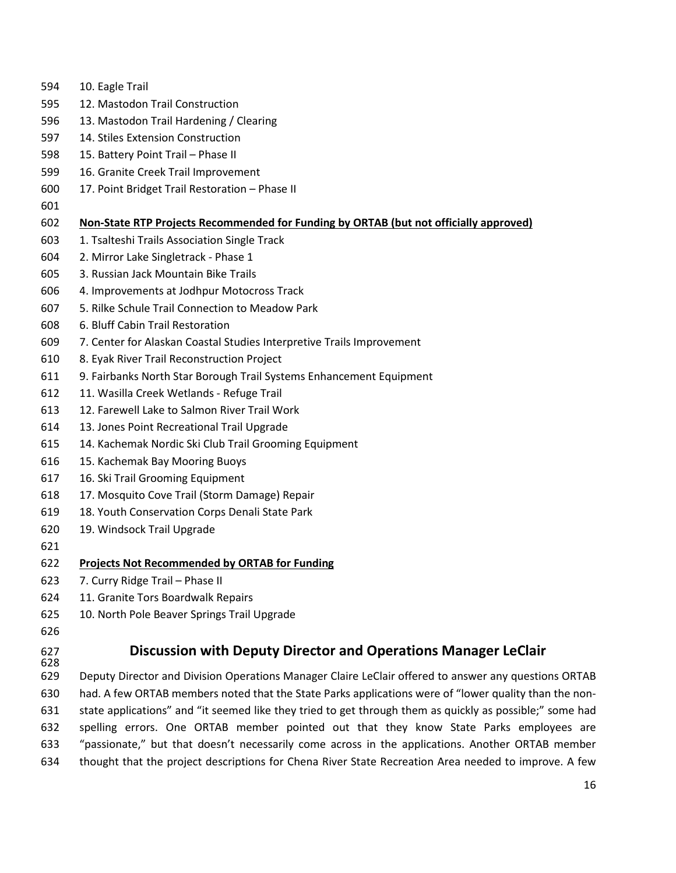| 594        | 10. Eagle Trail                                                                                          |
|------------|----------------------------------------------------------------------------------------------------------|
| 595        | 12. Mastodon Trail Construction                                                                          |
| 596        | 13. Mastodon Trail Hardening / Clearing                                                                  |
| 597        | 14. Stiles Extension Construction                                                                        |
| 598        | 15. Battery Point Trail - Phase II                                                                       |
| 599        | 16. Granite Creek Trail Improvement                                                                      |
| 600        | 17. Point Bridget Trail Restoration - Phase II                                                           |
| 601        |                                                                                                          |
| 602        | Non-State RTP Projects Recommended for Funding by ORTAB (but not officially approved)                    |
| 603        | 1. Tsalteshi Trails Association Single Track                                                             |
| 604        | 2. Mirror Lake Singletrack - Phase 1                                                                     |
| 605        | 3. Russian Jack Mountain Bike Trails                                                                     |
| 606        | 4. Improvements at Jodhpur Motocross Track                                                               |
| 607        | 5. Rilke Schule Trail Connection to Meadow Park                                                          |
| 608        | 6. Bluff Cabin Trail Restoration                                                                         |
| 609        | 7. Center for Alaskan Coastal Studies Interpretive Trails Improvement                                    |
| 610        | 8. Eyak River Trail Reconstruction Project                                                               |
| 611        | 9. Fairbanks North Star Borough Trail Systems Enhancement Equipment                                      |
| 612        | 11. Wasilla Creek Wetlands - Refuge Trail                                                                |
| 613        | 12. Farewell Lake to Salmon River Trail Work                                                             |
| 614        | 13. Jones Point Recreational Trail Upgrade                                                               |
| 615        | 14. Kachemak Nordic Ski Club Trail Grooming Equipment                                                    |
| 616        | 15. Kachemak Bay Mooring Buoys                                                                           |
| 617        | 16. Ski Trail Grooming Equipment                                                                         |
| 618        | 17. Mosquito Cove Trail (Storm Damage) Repair                                                            |
| 619        | 18. Youth Conservation Corps Denali State Park                                                           |
| 620        | 19. Windsock Trail Upgrade                                                                               |
| 621        |                                                                                                          |
| 622        | <b>Projects Not Recommended by ORTAB for Funding</b>                                                     |
| 623        | 7. Curry Ridge Trail - Phase II                                                                          |
| 624        | 11. Granite Tors Boardwalk Repairs                                                                       |
| 625        | 10. North Pole Beaver Springs Trail Upgrade                                                              |
| 626        |                                                                                                          |
| 627<br>628 | Discussion with Deputy Director and Operations Manager LeClair                                           |
| 629        | Deputy Director and Division Operations Manager Claire LeClair offered to answer any questions ORTAB     |
| 630        | had. A few ORTAB members noted that the State Parks applications were of "lower quality than the non-    |
| 631        | state applications" and "it seemed like they tried to get through them as quickly as possible;" some had |
| 632        | spelling errors. One ORTAB member pointed out that they know State Parks employees are                   |

"passionate," but that doesn't necessarily come across in the applications. Another ORTAB member

thought that the project descriptions for Chena River State Recreation Area needed to improve. A few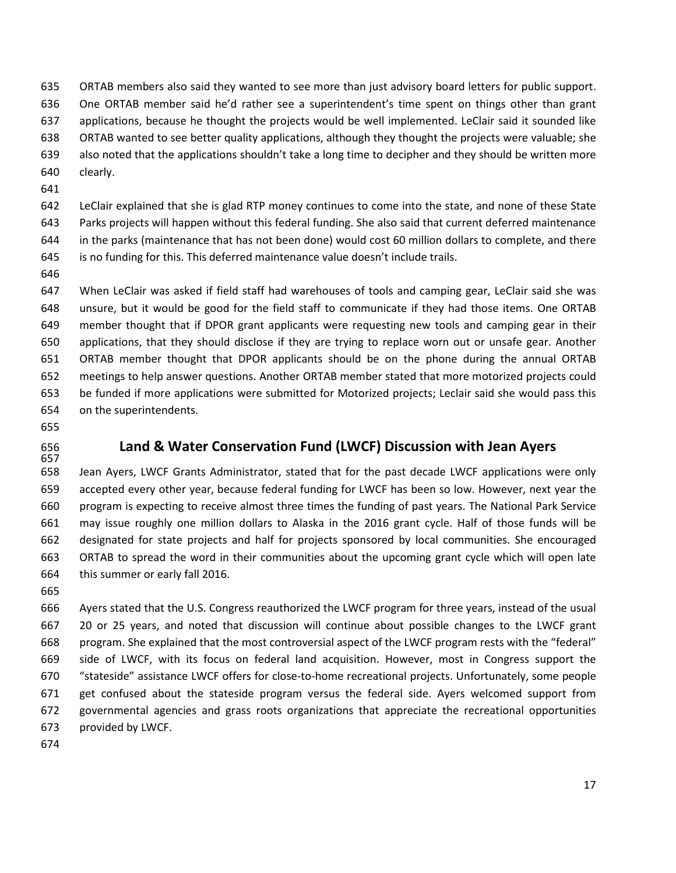ORTAB members also said they wanted to see more than just advisory board letters for public support. One ORTAB member said he'd rather see a superintendent's time spent on things other than grant applications, because he thought the projects would be well implemented. LeClair said it sounded like ORTAB wanted to see better quality applications, although they thought the projects were valuable; she also noted that the applications shouldn't take a long time to decipher and they should be written more clearly.

 LeClair explained that she is glad RTP money continues to come into the state, and none of these State Parks projects will happen without this federal funding. She also said that current deferred maintenance in the parks (maintenance that has not been done) would cost 60 million dollars to complete, and there is no funding for this. This deferred maintenance value doesn't include trails.

 When LeClair was asked if field staff had warehouses of tools and camping gear, LeClair said she was unsure, but it would be good for the field staff to communicate if they had those items. One ORTAB member thought that if DPOR grant applicants were requesting new tools and camping gear in their applications, that they should disclose if they are trying to replace worn out or unsafe gear. Another ORTAB member thought that DPOR applicants should be on the phone during the annual ORTAB meetings to help answer questions. Another ORTAB member stated that more motorized projects could be funded if more applications were submitted for Motorized projects; Leclair said she would pass this on the superintendents.

- 
- 

#### **Land & Water Conservation Fund (LWCF) Discussion with Jean Ayers**

 Jean Ayers, LWCF Grants Administrator, stated that for the past decade LWCF applications were only accepted every other year, because federal funding for LWCF has been so low. However, next year the program is expecting to receive almost three times the funding of past years. The National Park Service may issue roughly one million dollars to Alaska in the 2016 grant cycle. Half of those funds will be designated for state projects and half for projects sponsored by local communities. She encouraged ORTAB to spread the word in their communities about the upcoming grant cycle which will open late this summer or early fall 2016.

 Ayers stated that the U.S. Congress reauthorized the LWCF program for three years, instead of the usual 20 or 25 years, and noted that discussion will continue about possible changes to the LWCF grant program. She explained that the most controversial aspect of the LWCF program rests with the "federal" side of LWCF, with its focus on federal land acquisition. However, most in Congress support the "stateside" assistance LWCF offers for close-to-home recreational projects. Unfortunately, some people 671 get confused about the stateside program versus the federal side. Ayers welcomed support from governmental agencies and grass roots organizations that appreciate the recreational opportunities provided by LWCF.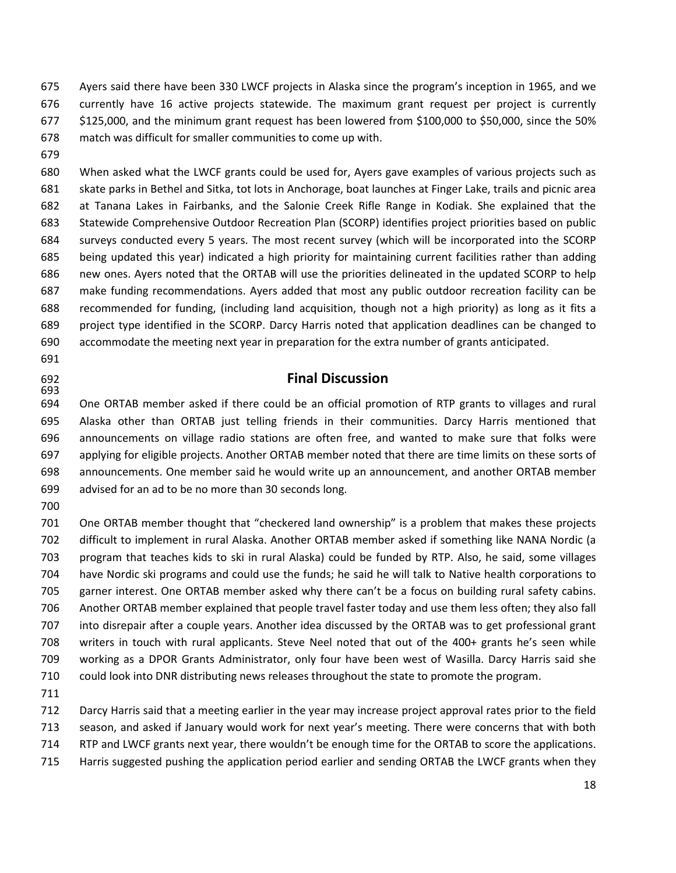Ayers said there have been 330 LWCF projects in Alaska since the program's inception in 1965, and we currently have 16 active projects statewide. The maximum grant request per project is currently \$125,000, and the minimum grant request has been lowered from \$100,000 to \$50,000, since the 50% match was difficult for smaller communities to come up with.

 When asked what the LWCF grants could be used for, Ayers gave examples of various projects such as skate parks in Bethel and Sitka, tot lots in Anchorage, boat launches at Finger Lake, trails and picnic area at Tanana Lakes in Fairbanks, and the Salonie Creek Rifle Range in Kodiak. She explained that the Statewide Comprehensive Outdoor Recreation Plan (SCORP) identifies project priorities based on public surveys conducted every 5 years. The most recent survey (which will be incorporated into the SCORP being updated this year) indicated a high priority for maintaining current facilities rather than adding new ones. Ayers noted that the ORTAB will use the priorities delineated in the updated SCORP to help make funding recommendations. Ayers added that most any public outdoor recreation facility can be recommended for funding, (including land acquisition, though not a high priority) as long as it fits a project type identified in the SCORP. Darcy Harris noted that application deadlines can be changed to accommodate the meeting next year in preparation for the extra number of grants anticipated.

#### **Final Discussion**

 One ORTAB member asked if there could be an official promotion of RTP grants to villages and rural Alaska other than ORTAB just telling friends in their communities. Darcy Harris mentioned that announcements on village radio stations are often free, and wanted to make sure that folks were applying for eligible projects. Another ORTAB member noted that there are time limits on these sorts of announcements. One member said he would write up an announcement, and another ORTAB member advised for an ad to be no more than 30 seconds long.

 One ORTAB member thought that "checkered land ownership" is a problem that makes these projects difficult to implement in rural Alaska. Another ORTAB member asked if something like NANA Nordic (a program that teaches kids to ski in rural Alaska) could be funded by RTP. Also, he said, some villages have Nordic ski programs and could use the funds; he said he will talk to Native health corporations to garner interest. One ORTAB member asked why there can't be a focus on building rural safety cabins. Another ORTAB member explained that people travel faster today and use them less often; they also fall into disrepair after a couple years. Another idea discussed by the ORTAB was to get professional grant writers in touch with rural applicants. Steve Neel noted that out of the 400+ grants he's seen while working as a DPOR Grants Administrator, only four have been west of Wasilla. Darcy Harris said she could look into DNR distributing news releases throughout the state to promote the program.

 Darcy Harris said that a meeting earlier in the year may increase project approval rates prior to the field season, and asked if January would work for next year's meeting. There were concerns that with both RTP and LWCF grants next year, there wouldn't be enough time for the ORTAB to score the applications.

Harris suggested pushing the application period earlier and sending ORTAB the LWCF grants when they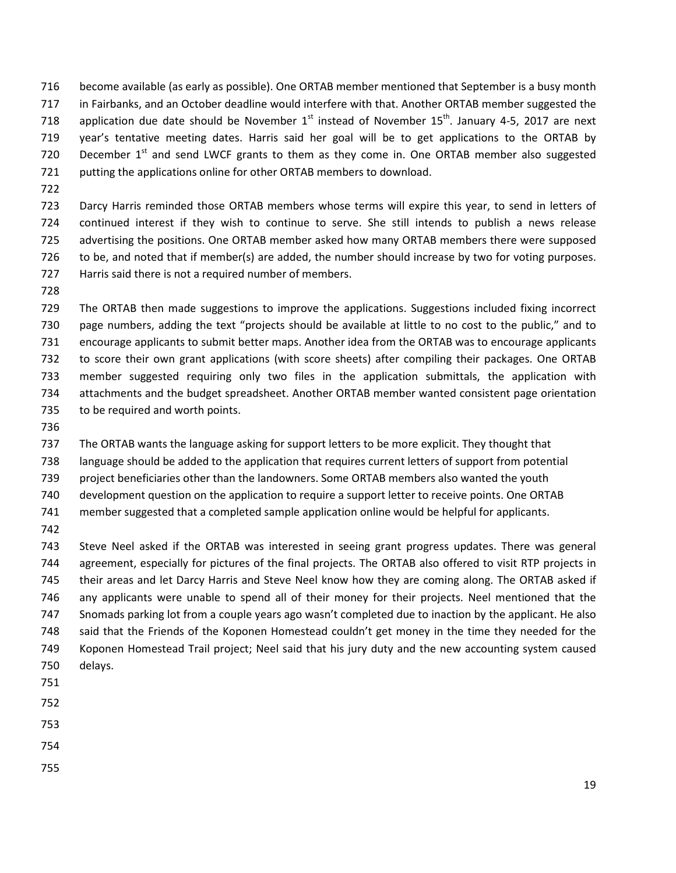become available (as early as possible). One ORTAB member mentioned that September is a busy month in Fairbanks, and an October deadline would interfere with that. Another ORTAB member suggested the 718 application due date should be November  $1<sup>st</sup>$  instead of November 15<sup>th</sup>. January 4-5, 2017 are next year's tentative meeting dates. Harris said her goal will be to get applications to the ORTAB by 720 December  $1<sup>st</sup>$  and send LWCF grants to them as they come in. One ORTAB member also suggested putting the applications online for other ORTAB members to download.

 Darcy Harris reminded those ORTAB members whose terms will expire this year, to send in letters of continued interest if they wish to continue to serve. She still intends to publish a news release advertising the positions. One ORTAB member asked how many ORTAB members there were supposed to be, and noted that if member(s) are added, the number should increase by two for voting purposes. Harris said there is not a required number of members.

 The ORTAB then made suggestions to improve the applications. Suggestions included fixing incorrect page numbers, adding the text "projects should be available at little to no cost to the public," and to encourage applicants to submit better maps. Another idea from the ORTAB was to encourage applicants to score their own grant applications (with score sheets) after compiling their packages. One ORTAB member suggested requiring only two files in the application submittals, the application with attachments and the budget spreadsheet. Another ORTAB member wanted consistent page orientation 735 to be required and worth points.

The ORTAB wants the language asking for support letters to be more explicit. They thought that

language should be added to the application that requires current letters of support from potential

project beneficiaries other than the landowners. Some ORTAB members also wanted the youth

development question on the application to require a support letter to receive points. One ORTAB

member suggested that a completed sample application online would be helpful for applicants.

 Steve Neel asked if the ORTAB was interested in seeing grant progress updates. There was general agreement, especially for pictures of the final projects. The ORTAB also offered to visit RTP projects in their areas and let Darcy Harris and Steve Neel know how they are coming along. The ORTAB asked if any applicants were unable to spend all of their money for their projects. Neel mentioned that the Snomads parking lot from a couple years ago wasn't completed due to inaction by the applicant. He also said that the Friends of the Koponen Homestead couldn't get money in the time they needed for the Koponen Homestead Trail project; Neel said that his jury duty and the new accounting system caused delays. 

- 
- 
- 
- 
-